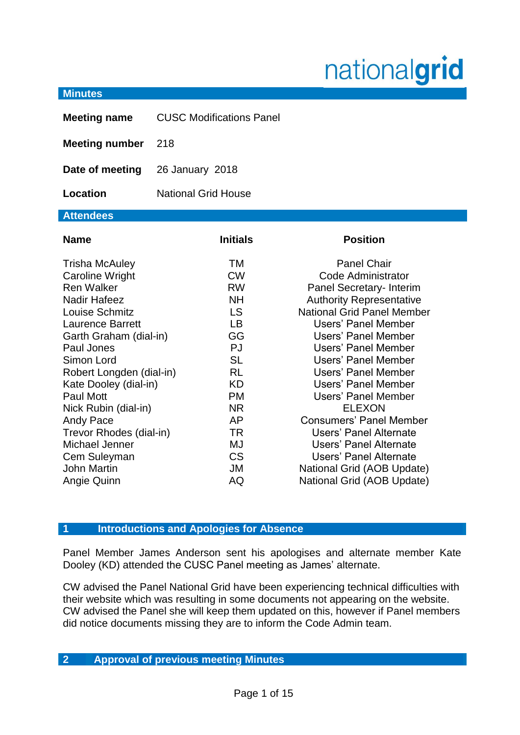# nationalgrid

#### **Minutes**

| <b>Meeting name</b>                                                                                                                                                                                                                                                                                                                                                                                     | <b>CUSC Modifications Panel</b>                                                                                                                                                                                  |                                                                                                                                                                                                                                                                                                                                                                                                                                                                                                                   |
|---------------------------------------------------------------------------------------------------------------------------------------------------------------------------------------------------------------------------------------------------------------------------------------------------------------------------------------------------------------------------------------------------------|------------------------------------------------------------------------------------------------------------------------------------------------------------------------------------------------------------------|-------------------------------------------------------------------------------------------------------------------------------------------------------------------------------------------------------------------------------------------------------------------------------------------------------------------------------------------------------------------------------------------------------------------------------------------------------------------------------------------------------------------|
| <b>Meeting number</b>                                                                                                                                                                                                                                                                                                                                                                                   | 218                                                                                                                                                                                                              |                                                                                                                                                                                                                                                                                                                                                                                                                                                                                                                   |
| Date of meeting                                                                                                                                                                                                                                                                                                                                                                                         | 26 January 2018                                                                                                                                                                                                  |                                                                                                                                                                                                                                                                                                                                                                                                                                                                                                                   |
| Location                                                                                                                                                                                                                                                                                                                                                                                                | <b>National Grid House</b>                                                                                                                                                                                       |                                                                                                                                                                                                                                                                                                                                                                                                                                                                                                                   |
| <b>Attendees</b>                                                                                                                                                                                                                                                                                                                                                                                        |                                                                                                                                                                                                                  |                                                                                                                                                                                                                                                                                                                                                                                                                                                                                                                   |
| <b>Name</b>                                                                                                                                                                                                                                                                                                                                                                                             | <b>Initials</b>                                                                                                                                                                                                  | <b>Position</b>                                                                                                                                                                                                                                                                                                                                                                                                                                                                                                   |
| <b>Trisha McAuley</b><br>Caroline Wright<br><b>Ren Walker</b><br><b>Nadir Hafeez</b><br>Louise Schmitz<br><b>Laurence Barrett</b><br>Garth Graham (dial-in)<br>Paul Jones<br>Simon Lord<br>Robert Longden (dial-in)<br>Kate Dooley (dial-in)<br><b>Paul Mott</b><br>Nick Rubin (dial-in)<br>Andy Pace<br>Trevor Rhodes (dial-in)<br>Michael Jenner<br>Cem Suleyman<br><b>John Martin</b><br>Angie Quinn | <b>TM</b><br><b>CW</b><br><b>RW</b><br><b>NH</b><br><b>LS</b><br><b>LB</b><br>GG<br><b>PJ</b><br><b>SL</b><br><b>RL</b><br><b>KD</b><br><b>PM</b><br><b>NR</b><br>AP<br><b>TR</b><br>MJ<br><b>CS</b><br>JM<br>AQ | <b>Panel Chair</b><br>Code Administrator<br>Panel Secretary- Interim<br><b>Authority Representative</b><br><b>National Grid Panel Member</b><br><b>Users' Panel Member</b><br>Users' Panel Member<br>Users' Panel Member<br>Users' Panel Member<br>Users' Panel Member<br>Users' Panel Member<br>Users' Panel Member<br><b>ELEXON</b><br><b>Consumers' Panel Member</b><br>Users' Panel Alternate<br>Users' Panel Alternate<br>Users' Panel Alternate<br>National Grid (AOB Update)<br>National Grid (AOB Update) |

#### **1 Introductions and Apologies for Absence**

Panel Member James Anderson sent his apologises and alternate member Kate Dooley (KD) attended the CUSC Panel meeting as James' alternate.

CW advised the Panel National Grid have been experiencing technical difficulties with their website which was resulting in some documents not appearing on the website. CW advised the Panel she will keep them updated on this, however if Panel members did notice documents missing they are to inform the Code Admin team.

# **2 Approval of previous meeting Minutes**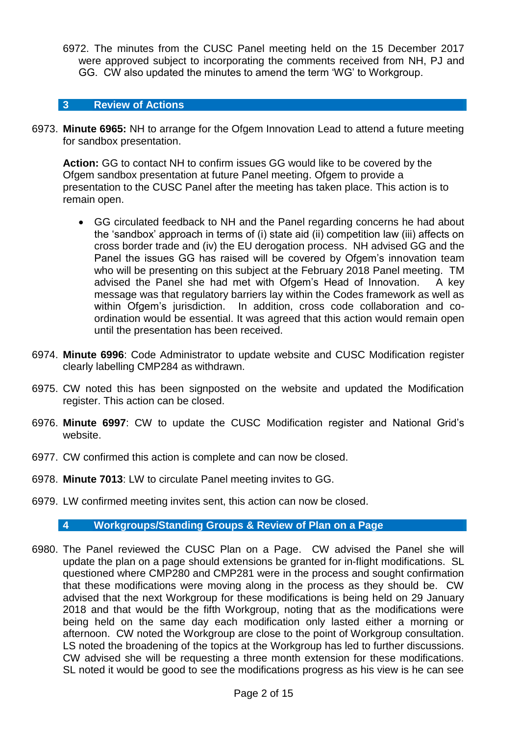6972. The minutes from the CUSC Panel meeting held on the 15 December 2017 were approved subject to incorporating the comments received from NH, PJ and GG. CW also updated the minutes to amend the term 'WG' to Workgroup.

#### **3 Review of Actions**

6973. **Minute 6965:** NH to arrange for the Ofgem Innovation Lead to attend a future meeting for sandbox presentation.

**Action:** GG to contact NH to confirm issues GG would like to be covered by the Ofgem sandbox presentation at future Panel meeting. Ofgem to provide a presentation to the CUSC Panel after the meeting has taken place. This action is to remain open.

- GG circulated feedback to NH and the Panel regarding concerns he had about the 'sandbox' approach in terms of (i) state aid (ii) competition law (iii) affects on cross border trade and (iv) the EU derogation process. NH advised GG and the Panel the issues GG has raised will be covered by Ofgem's innovation team who will be presenting on this subject at the February 2018 Panel meeting. TM advised the Panel she had met with Ofgem's Head of Innovation. A key message was that regulatory barriers lay within the Codes framework as well as within Ofgem's jurisdiction. In addition, cross code collaboration and coordination would be essential. It was agreed that this action would remain open until the presentation has been received.
- 6974. **Minute 6996**: Code Administrator to update website and CUSC Modification register clearly labelling CMP284 as withdrawn.
- 6975. CW noted this has been signposted on the website and updated the Modification register. This action can be closed.
- 6976. **Minute 6997**: CW to update the CUSC Modification register and National Grid's website.
- 6977. CW confirmed this action is complete and can now be closed.
- 6978. **Minute 7013**: LW to circulate Panel meeting invites to GG.
- 6979. LW confirmed meeting invites sent, this action can now be closed.

#### **4 Workgroups/Standing Groups & Review of Plan on a Page**

6980. The Panel reviewed the CUSC Plan on a Page. CW advised the Panel she will update the plan on a page should extensions be granted for in-flight modifications. SL questioned where CMP280 and CMP281 were in the process and sought confirmation that these modifications were moving along in the process as they should be. CW advised that the next Workgroup for these modifications is being held on 29 January 2018 and that would be the fifth Workgroup, noting that as the modifications were being held on the same day each modification only lasted either a morning or afternoon. CW noted the Workgroup are close to the point of Workgroup consultation. LS noted the broadening of the topics at the Workgroup has led to further discussions. CW advised she will be requesting a three month extension for these modifications. SL noted it would be good to see the modifications progress as his view is he can see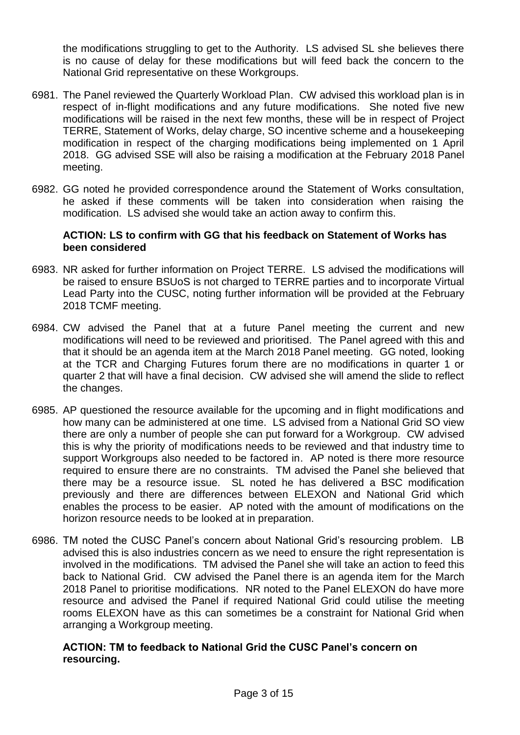the modifications struggling to get to the Authority. LS advised SL she believes there is no cause of delay for these modifications but will feed back the concern to the National Grid representative on these Workgroups.

- 6981. The Panel reviewed the Quarterly Workload Plan. CW advised this workload plan is in respect of in-flight modifications and any future modifications. She noted five new modifications will be raised in the next few months, these will be in respect of Project TERRE, Statement of Works, delay charge, SO incentive scheme and a housekeeping modification in respect of the charging modifications being implemented on 1 April 2018. GG advised SSE will also be raising a modification at the February 2018 Panel meeting.
- 6982. GG noted he provided correspondence around the Statement of Works consultation, he asked if these comments will be taken into consideration when raising the modification. LS advised she would take an action away to confirm this.

## **ACTION: LS to confirm with GG that his feedback on Statement of Works has been considered**

- 6983. NR asked for further information on Project TERRE. LS advised the modifications will be raised to ensure BSUoS is not charged to TERRE parties and to incorporate Virtual Lead Party into the CUSC, noting further information will be provided at the February 2018 TCMF meeting.
- 6984. CW advised the Panel that at a future Panel meeting the current and new modifications will need to be reviewed and prioritised. The Panel agreed with this and that it should be an agenda item at the March 2018 Panel meeting. GG noted, looking at the TCR and Charging Futures forum there are no modifications in quarter 1 or quarter 2 that will have a final decision. CW advised she will amend the slide to reflect the changes.
- 6985. AP questioned the resource available for the upcoming and in flight modifications and how many can be administered at one time. LS advised from a National Grid SO view there are only a number of people she can put forward for a Workgroup. CW advised this is why the priority of modifications needs to be reviewed and that industry time to support Workgroups also needed to be factored in. AP noted is there more resource required to ensure there are no constraints. TM advised the Panel she believed that there may be a resource issue. SL noted he has delivered a BSC modification previously and there are differences between ELEXON and National Grid which enables the process to be easier. AP noted with the amount of modifications on the horizon resource needs to be looked at in preparation.
- 6986. TM noted the CUSC Panel's concern about National Grid's resourcing problem. LB advised this is also industries concern as we need to ensure the right representation is involved in the modifications. TM advised the Panel she will take an action to feed this back to National Grid. CW advised the Panel there is an agenda item for the March 2018 Panel to prioritise modifications. NR noted to the Panel ELEXON do have more resource and advised the Panel if required National Grid could utilise the meeting rooms ELEXON have as this can sometimes be a constraint for National Grid when arranging a Workgroup meeting.

# **ACTION: TM to feedback to National Grid the CUSC Panel's concern on resourcing.**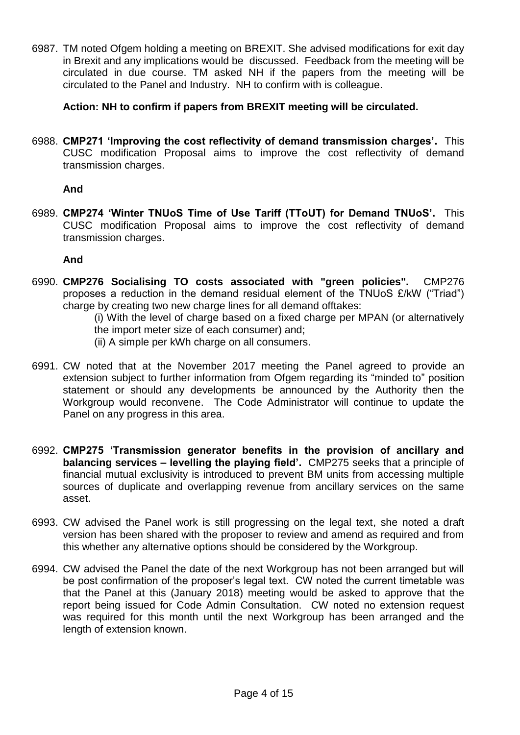6987. TM noted Ofgem holding a meeting on BREXIT. She advised modifications for exit day in Brexit and any implications would be discussed. Feedback from the meeting will be circulated in due course. TM asked NH if the papers from the meeting will be circulated to the Panel and Industry. NH to confirm with is colleague.

**Action: NH to confirm if papers from BREXIT meeting will be circulated.** 

6988. **CMP271 'Improving the cost reflectivity of demand transmission charges'.** This CUSC modification Proposal aims to improve the cost reflectivity of demand transmission charges.

# **And**

6989. **CMP274 'Winter TNUoS Time of Use Tariff (TToUT) for Demand TNUoS'.** This CUSC modification Proposal aims to improve the cost reflectivity of demand transmission charges.

# **And**

6990. **CMP276 Socialising TO costs associated with "green policies".** CMP276 proposes a reduction in the demand residual element of the TNUoS £/kW ("Triad") charge by creating two new charge lines for all demand offtakes:

(i) With the level of charge based on a fixed charge per MPAN (or alternatively the import meter size of each consumer) and;

- (ii) A simple per kWh charge on all consumers.
- 6991. CW noted that at the November 2017 meeting the Panel agreed to provide an extension subject to further information from Ofgem regarding its "minded to" position statement or should any developments be announced by the Authority then the Workgroup would reconvene. The Code Administrator will continue to update the Panel on any progress in this area.
- 6992. **CMP275 'Transmission generator benefits in the provision of ancillary and balancing services – levelling the playing field'.** CMP275 seeks that a principle of financial mutual exclusivity is introduced to prevent BM units from accessing multiple sources of duplicate and overlapping revenue from ancillary services on the same asset.
- 6993. CW advised the Panel work is still progressing on the legal text, she noted a draft version has been shared with the proposer to review and amend as required and from this whether any alternative options should be considered by the Workgroup.
- 6994. CW advised the Panel the date of the next Workgroup has not been arranged but will be post confirmation of the proposer's legal text. CW noted the current timetable was that the Panel at this (January 2018) meeting would be asked to approve that the report being issued for Code Admin Consultation. CW noted no extension request was required for this month until the next Workgroup has been arranged and the length of extension known.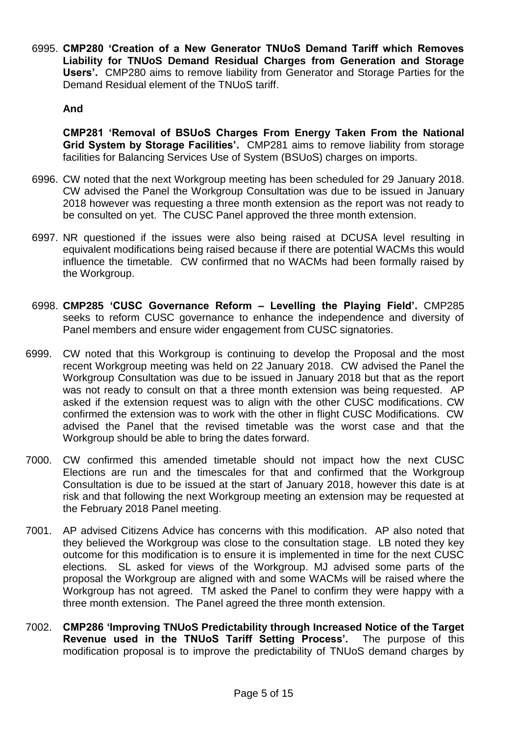6995. **CMP280 'Creation of a New Generator TNUoS Demand Tariff which Removes Liability for TNUoS Demand Residual Charges from Generation and Storage Users'.** CMP280 aims to remove liability from Generator and Storage Parties for the Demand Residual element of the TNUoS tariff.

# **And**

**CMP281 'Removal of BSUoS Charges From Energy Taken From the National Grid System by Storage Facilities'.** CMP281 aims to remove liability from storage facilities for Balancing Services Use of System (BSUoS) charges on imports.

- 6996. CW noted that the next Workgroup meeting has been scheduled for 29 January 2018. CW advised the Panel the Workgroup Consultation was due to be issued in January 2018 however was requesting a three month extension as the report was not ready to be consulted on yet. The CUSC Panel approved the three month extension.
- 6997. NR questioned if the issues were also being raised at DCUSA level resulting in equivalent modifications being raised because if there are potential WACMs this would influence the timetable. CW confirmed that no WACMs had been formally raised by the Workgroup.
- 6998. **CMP285 'CUSC Governance Reform – Levelling the Playing Field'.** CMP285 seeks to reform CUSC governance to enhance the independence and diversity of Panel members and ensure wider engagement from CUSC signatories.
- 6999. CW noted that this Workgroup is continuing to develop the Proposal and the most recent Workgroup meeting was held on 22 January 2018. CW advised the Panel the Workgroup Consultation was due to be issued in January 2018 but that as the report was not ready to consult on that a three month extension was being requested. AP asked if the extension request was to align with the other CUSC modifications. CW confirmed the extension was to work with the other in flight CUSC Modifications. CW advised the Panel that the revised timetable was the worst case and that the Workgroup should be able to bring the dates forward.
- 7000. CW confirmed this amended timetable should not impact how the next CUSC Elections are run and the timescales for that and confirmed that the Workgroup Consultation is due to be issued at the start of January 2018, however this date is at risk and that following the next Workgroup meeting an extension may be requested at the February 2018 Panel meeting.
- 7001. AP advised Citizens Advice has concerns with this modification. AP also noted that they believed the Workgroup was close to the consultation stage. LB noted they key outcome for this modification is to ensure it is implemented in time for the next CUSC elections. SL asked for views of the Workgroup. MJ advised some parts of the proposal the Workgroup are aligned with and some WACMs will be raised where the Workgroup has not agreed. TM asked the Panel to confirm they were happy with a three month extension. The Panel agreed the three month extension.
- 7002. **CMP286 'Improving TNUoS Predictability through Increased Notice of the Target Revenue used in the TNUoS Tariff Setting Process'.** The purpose of this modification proposal is to improve the predictability of TNUoS demand charges by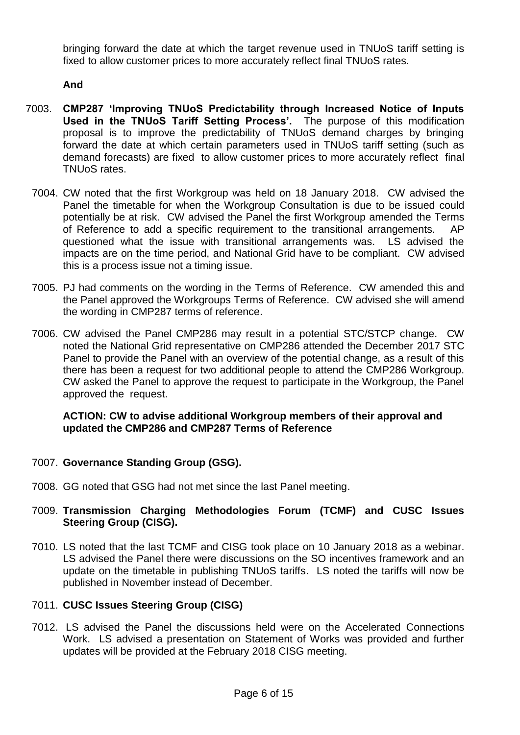bringing forward the date at which the target revenue used in TNUoS tariff setting is fixed to allow customer prices to more accurately reflect final TNUoS rates.

**And**

- 7003. **CMP287 'Improving TNUoS Predictability through Increased Notice of Inputs Used in the TNUoS Tariff Setting Process'.** The purpose of this modification proposal is to improve the predictability of TNUoS demand charges by bringing forward the date at which certain parameters used in TNUoS tariff setting (such as demand forecasts) are fixed to allow customer prices to more accurately reflect final TNUoS rates.
	- 7004. CW noted that the first Workgroup was held on 18 January 2018. CW advised the Panel the timetable for when the Workgroup Consultation is due to be issued could potentially be at risk. CW advised the Panel the first Workgroup amended the Terms of Reference to add a specific requirement to the transitional arrangements. AP questioned what the issue with transitional arrangements was. LS advised the impacts are on the time period, and National Grid have to be compliant. CW advised this is a process issue not a timing issue.
	- 7005. PJ had comments on the wording in the Terms of Reference. CW amended this and the Panel approved the Workgroups Terms of Reference. CW advised she will amend the wording in CMP287 terms of reference.
	- 7006. CW advised the Panel CMP286 may result in a potential STC/STCP change. CW noted the National Grid representative on CMP286 attended the December 2017 STC Panel to provide the Panel with an overview of the potential change, as a result of this there has been a request for two additional people to attend the CMP286 Workgroup. CW asked the Panel to approve the request to participate in the Workgroup, the Panel approved the request.

# **ACTION: CW to advise additional Workgroup members of their approval and updated the CMP286 and CMP287 Terms of Reference**

- 7007. **Governance Standing Group (GSG).**
- 7008. GG noted that GSG had not met since the last Panel meeting.

# 7009. **Transmission Charging Methodologies Forum (TCMF) and CUSC Issues Steering Group (CISG).**

7010. LS noted that the last TCMF and CISG took place on 10 January 2018 as a webinar. LS advised the Panel there were discussions on the SO incentives framework and an update on the timetable in publishing TNUoS tariffs. LS noted the tariffs will now be published in November instead of December.

# 7011. **CUSC Issues Steering Group (CISG)**

7012. LS advised the Panel the discussions held were on the Accelerated Connections Work. LS advised a presentation on Statement of Works was provided and further updates will be provided at the February 2018 CISG meeting.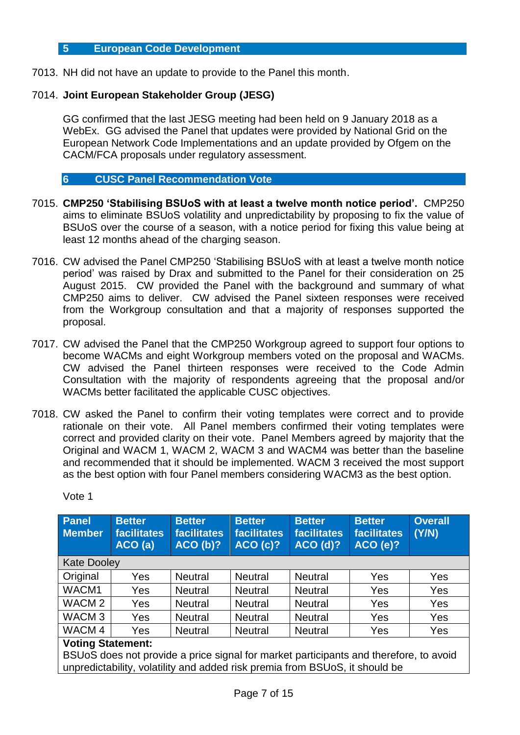#### **5 European Code Development**

7013. NH did not have an update to provide to the Panel this month.

# 7014. **Joint European Stakeholder Group (JESG)**

GG confirmed that the last JESG meeting had been held on 9 January 2018 as a WebEx. GG advised the Panel that updates were provided by National Grid on the European Network Code Implementations and an update provided by Ofgem on the CACM/FCA proposals under regulatory assessment.

# **6 CUSC Panel Recommendation Vote**

- 7015. **CMP250 'Stabilising BSUoS with at least a twelve month notice period'.** CMP250 aims to eliminate BSUoS volatility and unpredictability by proposing to fix the value of BSUoS over the course of a season, with a notice period for fixing this value being at least 12 months ahead of the charging season.
- 7016. CW advised the Panel CMP250 'Stabilising BSUoS with at least a twelve month notice period' was raised by Drax and submitted to the Panel for their consideration on 25 August 2015. CW provided the Panel with the background and summary of what CMP250 aims to deliver. CW advised the Panel sixteen responses were received from the Workgroup consultation and that a majority of responses supported the proposal.
- 7017. CW advised the Panel that the CMP250 Workgroup agreed to support four options to become WACMs and eight Workgroup members voted on the proposal and WACMs. CW advised the Panel thirteen responses were received to the Code Admin Consultation with the majority of respondents agreeing that the proposal and/or WACMs better facilitated the applicable CUSC objectives.
- 7018. CW asked the Panel to confirm their voting templates were correct and to provide rationale on their vote. All Panel members confirmed their voting templates were correct and provided clarity on their vote. Panel Members agreed by majority that the Original and WACM 1, WACM 2, WACM 3 and WACM4 was better than the baseline and recommended that it should be implemented. WACM 3 received the most support as the best option with four Panel members considering WACM3 as the best option.

| Panel<br><b>Member</b>   | <b>Better</b><br><b>facilitates</b><br>ACO(a)                                                                                                                        | <b>Better</b><br><b>facilitates</b><br>ACO(b)? | <b>Better</b><br><b>facilitates</b><br>ACO(c)? | <b>Better</b><br>facilitates<br>ACO(d)? | <b>Better</b><br><b>facilitates</b><br>ACO(e)? | <b>Overall</b><br>(Y/N) |
|--------------------------|----------------------------------------------------------------------------------------------------------------------------------------------------------------------|------------------------------------------------|------------------------------------------------|-----------------------------------------|------------------------------------------------|-------------------------|
| <b>Kate Dooley</b>       |                                                                                                                                                                      |                                                |                                                |                                         |                                                |                         |
| Original                 | Yes                                                                                                                                                                  | <b>Neutral</b>                                 | <b>Neutral</b>                                 | <b>Neutral</b>                          | Yes                                            | Yes                     |
| WACM1                    | Yes                                                                                                                                                                  | <b>Neutral</b>                                 | <b>Neutral</b>                                 | <b>Neutral</b>                          | Yes                                            | Yes                     |
| WACM <sub>2</sub>        | Yes                                                                                                                                                                  | <b>Neutral</b>                                 | <b>Neutral</b>                                 | <b>Neutral</b>                          | Yes                                            | Yes                     |
| WACM <sub>3</sub>        | Yes                                                                                                                                                                  | <b>Neutral</b>                                 | <b>Neutral</b>                                 | <b>Neutral</b>                          | Yes                                            | Yes                     |
| WACM 4                   | Yes                                                                                                                                                                  | <b>Neutral</b>                                 | <b>Neutral</b>                                 | <b>Neutral</b>                          | Yes                                            | Yes                     |
| <b>Voting Statement:</b> |                                                                                                                                                                      |                                                |                                                |                                         |                                                |                         |
|                          | BSUoS does not provide a price signal for market participants and therefore, to avoid<br>unpredictability, volatility and added risk premia from BSUoS, it should be |                                                |                                                |                                         |                                                |                         |

Vote 1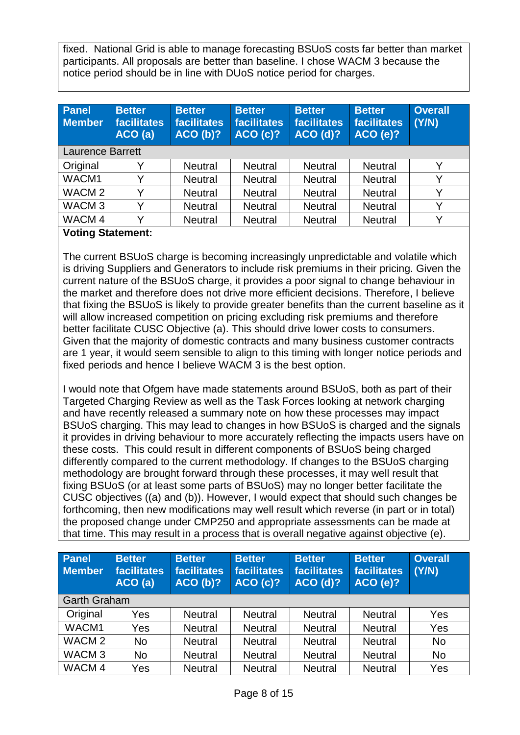fixed. National Grid is able to manage forecasting BSUoS costs far better than market participants. All proposals are better than baseline. I chose WACM 3 because the notice period should be in line with DUoS notice period for charges.

| <b>Better</b><br>facilitates<br>ACO(a) | <b>Better</b><br>facilitates<br>ACO(b)? | <b>Better</b><br><b>facilitates</b><br><b>ACO (c)?</b> | <b>Better</b><br>facilitates<br>ACO(d)? | <b>Better</b><br><b>facilitates</b><br><b>ACO (e)?</b> | <b>Overall</b><br>(Y/N) |
|----------------------------------------|-----------------------------------------|--------------------------------------------------------|-----------------------------------------|--------------------------------------------------------|-------------------------|
| <b>Laurence Barrett</b>                |                                         |                                                        |                                         |                                                        |                         |
|                                        | <b>Neutral</b>                          | <b>Neutral</b>                                         | <b>Neutral</b>                          | <b>Neutral</b>                                         |                         |
|                                        | <b>Neutral</b>                          | <b>Neutral</b>                                         | <b>Neutral</b>                          | <b>Neutral</b>                                         |                         |
| v                                      | <b>Neutral</b>                          | <b>Neutral</b>                                         | <b>Neutral</b>                          | <b>Neutral</b>                                         |                         |
| v                                      | <b>Neutral</b>                          | <b>Neutral</b>                                         | <b>Neutral</b>                          | <b>Neutral</b>                                         | v                       |
| $\checkmark$                           | <b>Neutral</b>                          | <b>Neutral</b>                                         | <b>Neutral</b>                          | <b>Neutral</b>                                         | v                       |
|                                        |                                         |                                                        |                                         |                                                        |                         |

# **Voting Statement:**

The current BSUoS charge is becoming increasingly unpredictable and volatile which is driving Suppliers and Generators to include risk premiums in their pricing. Given the current nature of the BSUoS charge, it provides a poor signal to change behaviour in the market and therefore does not drive more efficient decisions. Therefore, I believe that fixing the BSUoS is likely to provide greater benefits than the current baseline as it will allow increased competition on pricing excluding risk premiums and therefore better facilitate CUSC Objective (a). This should drive lower costs to consumers. Given that the majority of domestic contracts and many business customer contracts are 1 year, it would seem sensible to align to this timing with longer notice periods and fixed periods and hence I believe WACM 3 is the best option.

I would note that Ofgem have made statements around BSUoS, both as part of their Targeted Charging Review as well as the Task Forces looking at network charging and have recently released a summary note on how these processes may impact BSUoS charging. This may lead to changes in how BSUoS is charged and the signals it provides in driving behaviour to more accurately reflecting the impacts users have on these costs. This could result in different components of BSUoS being charged differently compared to the current methodology. If changes to the BSUoS charging methodology are brought forward through these processes, it may well result that fixing BSUoS (or at least some parts of BSUoS) may no longer better facilitate the CUSC objectives ((a) and (b)). However, I would expect that should such changes be forthcoming, then new modifications may well result which reverse (in part or in total) the proposed change under CMP250 and appropriate assessments can be made at that time. This may result in a process that is overall negative against objective (e).

| Panel<br><b>Member</b> | <b>Better</b><br><b>facilitates</b><br>ACO(a) | <b>Better</b><br>facilitates<br>ACO(b)? | <b>Better</b><br>facilitates<br><b>ACO (c)?</b> | <b>Better</b><br>facilitates<br>ACO(d)? | <b>Better</b><br>facilitates<br>ACO(e)? | <b>Overall</b><br>(Y/N) |
|------------------------|-----------------------------------------------|-----------------------------------------|-------------------------------------------------|-----------------------------------------|-----------------------------------------|-------------------------|
| <b>Garth Graham</b>    |                                               |                                         |                                                 |                                         |                                         |                         |
| Original               | Yes                                           | <b>Neutral</b>                          | <b>Neutral</b>                                  | <b>Neutral</b>                          | <b>Neutral</b>                          | Yes                     |
| WACM1                  | Yes                                           | <b>Neutral</b>                          | <b>Neutral</b>                                  | <b>Neutral</b>                          | <b>Neutral</b>                          | Yes                     |
| WACM <sub>2</sub>      | <b>No</b>                                     | <b>Neutral</b>                          | <b>Neutral</b>                                  | <b>Neutral</b>                          | <b>Neutral</b>                          | <b>No</b>               |
| WACM <sub>3</sub>      | <b>No</b>                                     | <b>Neutral</b>                          | <b>Neutral</b>                                  | <b>Neutral</b>                          | <b>Neutral</b>                          | <b>No</b>               |
| WACM <sub>4</sub>      | Yes                                           | <b>Neutral</b>                          | <b>Neutral</b>                                  | <b>Neutral</b>                          | <b>Neutral</b>                          | Yes                     |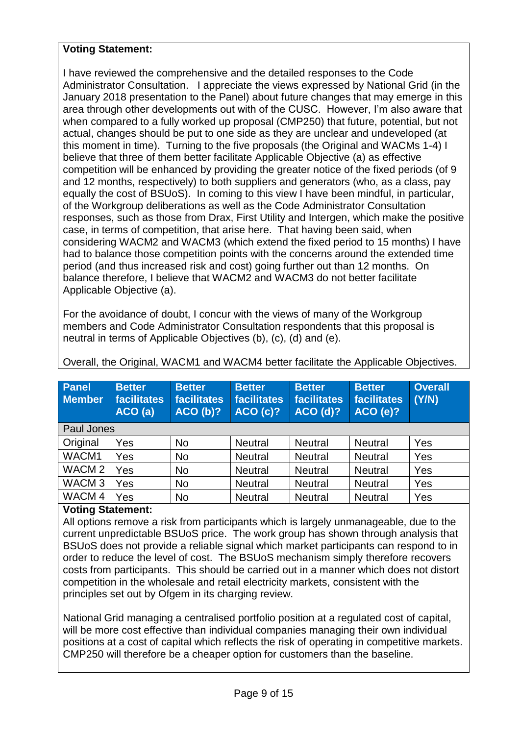# **Voting Statement:**

I have reviewed the comprehensive and the detailed responses to the Code Administrator Consultation. I appreciate the views expressed by National Grid (in the January 2018 presentation to the Panel) about future changes that may emerge in this area through other developments out with of the CUSC. However, I'm also aware that when compared to a fully worked up proposal (CMP250) that future, potential, but not actual, changes should be put to one side as they are unclear and undeveloped (at this moment in time). Turning to the five proposals (the Original and WACMs 1-4) I believe that three of them better facilitate Applicable Objective (a) as effective competition will be enhanced by providing the greater notice of the fixed periods (of 9 and 12 months, respectively) to both suppliers and generators (who, as a class, pay equally the cost of BSUoS). In coming to this view I have been mindful, in particular, of the Workgroup deliberations as well as the Code Administrator Consultation responses, such as those from Drax, First Utility and Intergen, which make the positive case, in terms of competition, that arise here. That having been said, when considering WACM2 and WACM3 (which extend the fixed period to 15 months) I have had to balance those competition points with the concerns around the extended time period (and thus increased risk and cost) going further out than 12 months. On balance therefore, I believe that WACM2 and WACM3 do not better facilitate Applicable Objective (a).

For the avoidance of doubt, I concur with the views of many of the Workgroup members and Code Administrator Consultation respondents that this proposal is neutral in terms of Applicable Objectives (b), (c), (d) and (e).

| Panel<br><b>Member</b> | <b>Better</b><br>facilitates<br>ACO(a) | <b>Better</b><br>facilitates<br>ACO(b)? | <b>Better</b><br><b>facilitates</b><br>ACO(c)? | <b>Better</b><br>facilitates<br>ACO(d)? | <b>Better</b><br><b>facilitates</b><br><b>ACO (e)?</b> | <b>Overall</b><br>(Y/N) |
|------------------------|----------------------------------------|-----------------------------------------|------------------------------------------------|-----------------------------------------|--------------------------------------------------------|-------------------------|
| Paul Jones             |                                        |                                         |                                                |                                         |                                                        |                         |
| Original               | Yes                                    | <b>No</b>                               | <b>Neutral</b>                                 | <b>Neutral</b>                          | <b>Neutral</b>                                         | Yes                     |
| WACM1                  | Yes                                    | <b>No</b>                               | <b>Neutral</b>                                 | <b>Neutral</b>                          | <b>Neutral</b>                                         | Yes                     |
| WACM <sub>2</sub>      | Yes                                    | <b>No</b>                               | <b>Neutral</b>                                 | <b>Neutral</b>                          | <b>Neutral</b>                                         | Yes                     |
| WACM <sub>3</sub>      | Yes                                    | <b>No</b>                               | <b>Neutral</b>                                 | <b>Neutral</b>                          | <b>Neutral</b>                                         | Yes                     |
| WACM <sub>4</sub>      | Yes                                    | <b>No</b>                               | <b>Neutral</b>                                 | <b>Neutral</b>                          | <b>Neutral</b>                                         | Yes                     |

Overall, the Original, WACM1 and WACM4 better facilitate the Applicable Objectives.

# **Voting Statement:**

All options remove a risk from participants which is largely unmanageable, due to the current unpredictable BSUoS price. The work group has shown through analysis that BSUoS does not provide a reliable signal which market participants can respond to in order to reduce the level of cost. The BSUoS mechanism simply therefore recovers costs from participants. This should be carried out in a manner which does not distort competition in the wholesale and retail electricity markets, consistent with the principles set out by Ofgem in its charging review.

National Grid managing a centralised portfolio position at a regulated cost of capital, will be more cost effective than individual companies managing their own individual positions at a cost of capital which reflects the risk of operating in competitive markets. CMP250 will therefore be a cheaper option for customers than the baseline.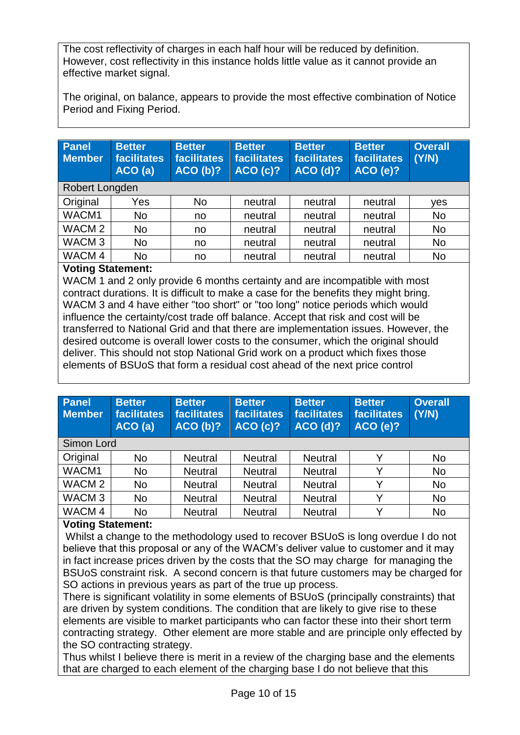The cost reflectivity of charges in each half hour will be reduced by definition. However, cost reflectivity in this instance holds little value as it cannot provide an effective market signal.

The original, on balance, appears to provide the most effective combination of Notice Period and Fixing Period.

| Panel<br><b>Member</b> | <b>Better</b><br>facilitates<br>ACO(a) | <b>Better</b><br><b>facilitates</b><br>ACO(b)? | <b>Better</b><br><b>facilitates</b><br><b>ACO (c)?</b> | <b>Better</b><br>facilitates<br>ACO(d)? | <b>Better</b><br><b>facilitates</b><br><b>ACO (e)?</b> | <b>Overall</b><br>(Y/N) |
|------------------------|----------------------------------------|------------------------------------------------|--------------------------------------------------------|-----------------------------------------|--------------------------------------------------------|-------------------------|
| Robert Longden         |                                        |                                                |                                                        |                                         |                                                        |                         |
| Original               | Yes                                    | <b>No</b>                                      | neutral                                                | neutral                                 | neutral                                                | ves                     |
| WACM1                  | <b>No</b>                              | no                                             | neutral                                                | neutral                                 | neutral                                                | <b>No</b>               |
| WACM <sub>2</sub>      | <b>No</b>                              | no                                             | neutral                                                | neutral                                 | neutral                                                | <b>No</b>               |
| WACM <sub>3</sub>      | <b>No</b>                              | no                                             | neutral                                                | neutral                                 | neutral                                                | <b>No</b>               |
| WACM <sub>4</sub>      | <b>No</b>                              | no                                             | neutral                                                | neutral                                 | neutral                                                | <b>No</b>               |

# **Voting Statement:**

WACM 1 and 2 only provide 6 months certainty and are incompatible with most contract durations. It is difficult to make a case for the benefits they might bring. WACM 3 and 4 have either "too short" or "too long" notice periods which would influence the certainty/cost trade off balance. Accept that risk and cost will be transferred to National Grid and that there are implementation issues. However, the desired outcome is overall lower costs to the consumer, which the original should deliver. This should not stop National Grid work on a product which fixes those elements of BSUoS that form a residual cost ahead of the next price control

| <b>Panel</b><br><b>Member</b> | <b>Better</b><br>facilitates<br>ACO(a) | <b>Better</b><br><b>facilitates</b><br>ACO(b)? | <b>Better</b><br>facilitates<br><b>ACO (c)?</b> | <b>Better</b><br><b>facilitates</b><br>ACO(d)? | <b>Better</b><br><b>facilitates</b><br><b>ACO (e)?</b> | <b>Overall</b><br>(Y/N) |
|-------------------------------|----------------------------------------|------------------------------------------------|-------------------------------------------------|------------------------------------------------|--------------------------------------------------------|-------------------------|
| Simon Lord                    |                                        |                                                |                                                 |                                                |                                                        |                         |
| Original                      | <b>No</b>                              | <b>Neutral</b>                                 | <b>Neutral</b>                                  | <b>Neutral</b>                                 | Y                                                      | <b>No</b>               |
| WACM1                         | <b>No</b>                              | <b>Neutral</b>                                 | <b>Neutral</b>                                  | <b>Neutral</b>                                 | Υ                                                      | <b>No</b>               |
| WACM <sub>2</sub>             | <b>No</b>                              | <b>Neutral</b>                                 | <b>Neutral</b>                                  | <b>Neutral</b>                                 | Υ                                                      | <b>No</b>               |
| WACM <sub>3</sub>             | <b>No</b>                              | <b>Neutral</b>                                 | <b>Neutral</b>                                  | <b>Neutral</b>                                 | Υ                                                      | <b>No</b>               |
| WACM <sub>4</sub>             | <b>No</b>                              | <b>Neutral</b>                                 | <b>Neutral</b>                                  | <b>Neutral</b>                                 | v                                                      | <b>No</b>               |

## **Voting Statement:**

Whilst a change to the methodology used to recover BSUoS is long overdue I do not believe that this proposal or any of the WACM's deliver value to customer and it may in fact increase prices driven by the costs that the SO may charge for managing the BSUoS constraint risk. A second concern is that future customers may be charged for SO actions in previous years as part of the true up process.

There is significant volatility in some elements of BSUoS (principally constraints) that are driven by system conditions. The condition that are likely to give rise to these elements are visible to market participants who can factor these into their short term contracting strategy. Other element are more stable and are principle only effected by the SO contracting strategy.

Thus whilst I believe there is merit in a review of the charging base and the elements that are charged to each element of the charging base I do not believe that this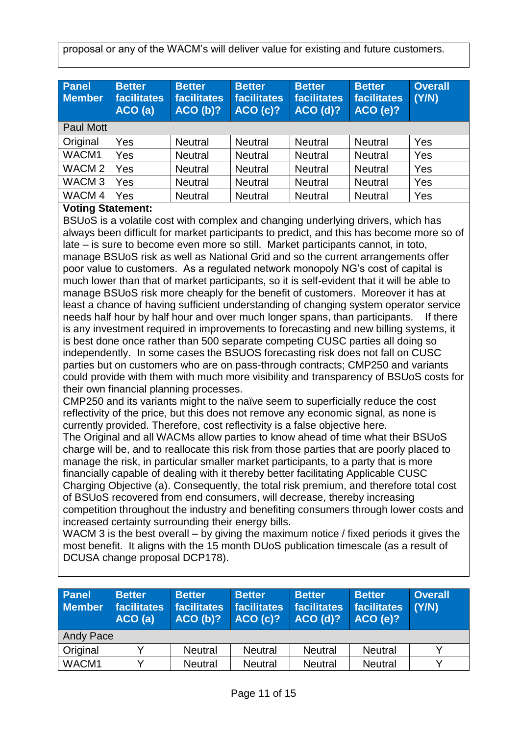proposal or any of the WACM's will deliver value for existing and future customers.

| Panel<br><b>Member</b> | <b>Better</b><br><b>facilitates</b><br>ACO (a) | <b>Better</b><br><b>facilitates</b><br>ACO(b)? | <b>Better</b><br><b>facilitates</b><br><b>ACO (c)?</b> | <b>Better</b><br>facilitates<br><b>ACO (d)?</b> | <b>Better</b><br>facilitates<br><b>ACO (e)?</b> | <b>Overall</b><br>(Y/N) |
|------------------------|------------------------------------------------|------------------------------------------------|--------------------------------------------------------|-------------------------------------------------|-------------------------------------------------|-------------------------|
| <b>Paul Mott</b>       |                                                |                                                |                                                        |                                                 |                                                 |                         |
| Original               | Yes                                            | <b>Neutral</b>                                 | <b>Neutral</b>                                         | <b>Neutral</b>                                  | <b>Neutral</b>                                  | Yes                     |
| WACM1                  | Yes                                            | <b>Neutral</b>                                 | <b>Neutral</b>                                         | <b>Neutral</b>                                  | <b>Neutral</b>                                  | Yes                     |
| WACM <sub>2</sub>      | Yes                                            | <b>Neutral</b>                                 | <b>Neutral</b>                                         | <b>Neutral</b>                                  | <b>Neutral</b>                                  | Yes                     |
| WACM <sub>3</sub>      | Yes                                            | <b>Neutral</b>                                 | <b>Neutral</b>                                         | <b>Neutral</b>                                  | <b>Neutral</b>                                  | Yes                     |
| WACM <sub>4</sub>      | Yes                                            | <b>Neutral</b>                                 | <b>Neutral</b>                                         | <b>Neutral</b>                                  | <b>Neutral</b>                                  | Yes                     |

## **Voting Statement:**

BSUoS is a volatile cost with complex and changing underlying drivers, which has always been difficult for market participants to predict, and this has become more so of late – is sure to become even more so still. Market participants cannot, in toto, manage BSUoS risk as well as National Grid and so the current arrangements offer poor value to customers. As a regulated network monopoly NG's cost of capital is much lower than that of market participants, so it is self-evident that it will be able to manage BSUoS risk more cheaply for the benefit of customers. Moreover it has at least a chance of having sufficient understanding of changing system operator service needs half hour by half hour and over much longer spans, than participants. If there is any investment required in improvements to forecasting and new billing systems, it is best done once rather than 500 separate competing CUSC parties all doing so independently. In some cases the BSUOS forecasting risk does not fall on CUSC parties but on customers who are on pass-through contracts; CMP250 and variants could provide with them with much more visibility and transparency of BSUoS costs for their own financial planning processes.

CMP250 and its variants might to the naïve seem to superficially reduce the cost reflectivity of the price, but this does not remove any economic signal, as none is currently provided. Therefore, cost reflectivity is a false objective here.

The Original and all WACMs allow parties to know ahead of time what their BSUoS charge will be, and to reallocate this risk from those parties that are poorly placed to manage the risk, in particular smaller market participants, to a party that is more financially capable of dealing with it thereby better facilitating Applicable CUSC Charging Objective (a). Consequently, the total risk premium, and therefore total cost of BSUoS recovered from end consumers, will decrease, thereby increasing competition throughout the industry and benefiting consumers through lower costs and increased certainty surrounding their energy bills.

WACM 3 is the best overall – by giving the maximum notice / fixed periods it gives the most benefit. It aligns with the 15 month DUoS publication timescale (as a result of DCUSA change proposal DCP178).

| Panel<br><b>Member</b> | <b>Better</b><br>facilitates<br>ACO (a) | <b>Better</b><br>facilitates<br>ACO(b)? | <b>Better</b><br>facilitates<br><b>ACO (c)?</b> | <b>Better</b><br>facilitates<br>$ACO$ (d)? | <b>Better</b><br>facilitates<br><b>ACO (e)?</b> | <b>Overall</b><br>(Y/N) |
|------------------------|-----------------------------------------|-----------------------------------------|-------------------------------------------------|--------------------------------------------|-------------------------------------------------|-------------------------|
| <b>Andy Pace</b>       |                                         |                                         |                                                 |                                            |                                                 |                         |
| <b>Original</b>        |                                         | <b>Neutral</b>                          | <b>Neutral</b>                                  | <b>Neutral</b>                             | <b>Neutral</b>                                  |                         |
| WACM1                  |                                         | <b>Neutral</b>                          | <b>Neutral</b>                                  | <b>Neutral</b>                             | <b>Neutral</b>                                  |                         |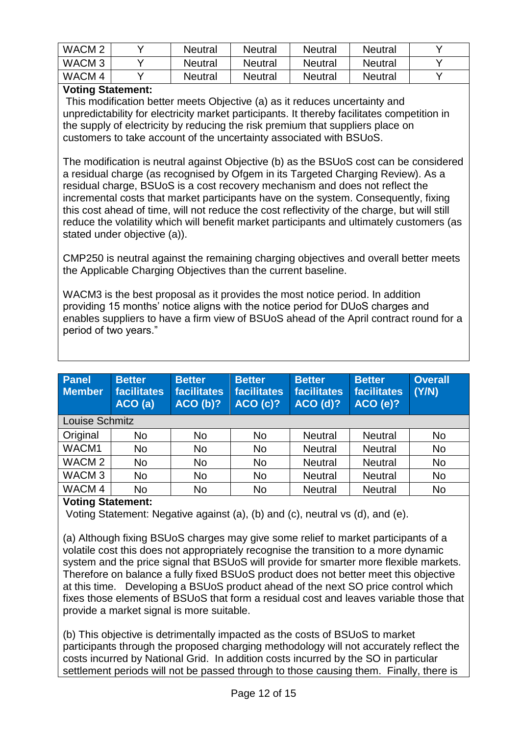| WACM <sub>2</sub> | <b>Neutral</b> | <b>Neutral</b> | Neutral        | <b>Neutral</b> |  |
|-------------------|----------------|----------------|----------------|----------------|--|
| WACM <sub>3</sub> | <b>Neutral</b> | <b>Neutral</b> | <b>Neutral</b> | <b>Neutral</b> |  |
| WACM 4            | <b>Neutral</b> | Neutral        | Neutral        | <b>Neutral</b> |  |

# **Voting Statement:**

This modification better meets Objective (a) as it reduces uncertainty and unpredictability for electricity market participants. It thereby facilitates competition in the supply of electricity by reducing the risk premium that suppliers place on customers to take account of the uncertainty associated with BSUoS.

The modification is neutral against Objective (b) as the BSUoS cost can be considered a residual charge (as recognised by Ofgem in its Targeted Charging Review). As a residual charge, BSUoS is a cost recovery mechanism and does not reflect the incremental costs that market participants have on the system. Consequently, fixing this cost ahead of time, will not reduce the cost reflectivity of the charge, but will still reduce the volatility which will benefit market participants and ultimately customers (as stated under objective (a)).

CMP250 is neutral against the remaining charging objectives and overall better meets the Applicable Charging Objectives than the current baseline.

WACM3 is the best proposal as it provides the most notice period. In addition providing 15 months' notice aligns with the notice period for DUoS charges and enables suppliers to have a firm view of BSUoS ahead of the April contract round for a period of two years."

| <b>Panel</b><br><b>Member</b> | <b>Better</b><br><b>facilitates</b><br>ACO(a) | <b>Better</b><br><b>facilitates</b><br>ACO(b)? | <b>Better</b><br><b>facilitates</b><br><b>ACO (c)?</b> | <b>Better</b><br><b>facilitates</b><br>ACO(d)? | <b>Better</b><br><b>facilitates</b><br><b>ACO (e)?</b> | <b>Overall</b><br>(Y/N) |
|-------------------------------|-----------------------------------------------|------------------------------------------------|--------------------------------------------------------|------------------------------------------------|--------------------------------------------------------|-------------------------|
| Louise Schmitz                |                                               |                                                |                                                        |                                                |                                                        |                         |
| Original                      | No                                            | <b>No</b>                                      | <b>No</b>                                              | <b>Neutral</b>                                 | <b>Neutral</b>                                         | <b>No</b>               |
| WACM1                         | <b>No</b>                                     | <b>No</b>                                      | <b>No</b>                                              | <b>Neutral</b>                                 | <b>Neutral</b>                                         | <b>No</b>               |
| WACM <sub>2</sub>             | <b>No</b>                                     | <b>No</b>                                      | <b>No</b>                                              | <b>Neutral</b>                                 | <b>Neutral</b>                                         | <b>No</b>               |
| WACM <sub>3</sub>             | <b>No</b>                                     | <b>No</b>                                      | <b>No</b>                                              | <b>Neutral</b>                                 | <b>Neutral</b>                                         | <b>No</b>               |
| WACM <sub>4</sub>             | <b>No</b>                                     | <b>No</b>                                      | <b>No</b>                                              | <b>Neutral</b>                                 | <b>Neutral</b>                                         | <b>No</b>               |
|                               |                                               |                                                |                                                        |                                                |                                                        |                         |

# **Voting Statement:**

Voting Statement: Negative against (a), (b) and (c), neutral vs (d), and (e).

(a) Although fixing BSUoS charges may give some relief to market participants of a volatile cost this does not appropriately recognise the transition to a more dynamic system and the price signal that BSUoS will provide for smarter more flexible markets. Therefore on balance a fully fixed BSUoS product does not better meet this objective at this time. Developing a BSUoS product ahead of the next SO price control which fixes those elements of BSUoS that form a residual cost and leaves variable those that provide a market signal is more suitable.

(b) This objective is detrimentally impacted as the costs of BSUoS to market participants through the proposed charging methodology will not accurately reflect the costs incurred by National Grid. In addition costs incurred by the SO in particular settlement periods will not be passed through to those causing them. Finally, there is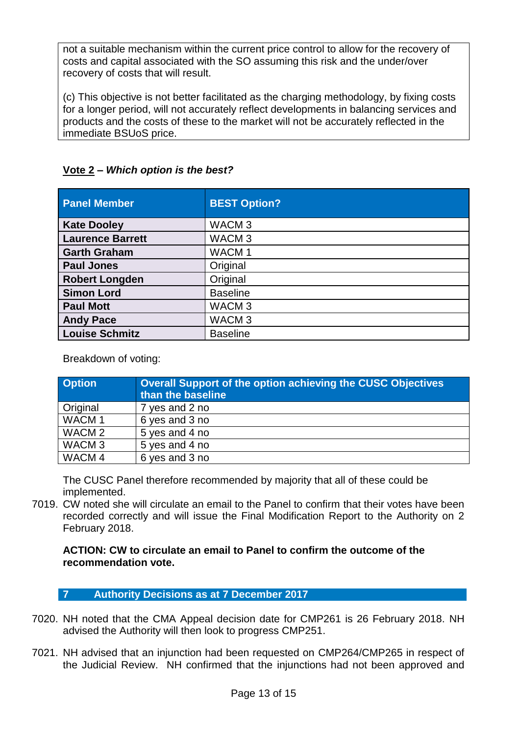not a suitable mechanism within the current price control to allow for the recovery of costs and capital associated with the SO assuming this risk and the under/over recovery of costs that will result.

(c) This objective is not better facilitated as the charging methodology, by fixing costs for a longer period, will not accurately reflect developments in balancing services and products and the costs of these to the market will not be accurately reflected in the immediate BSUoS price.

| <b>Panel Member</b>     | <b>BEST Option?</b> |
|-------------------------|---------------------|
| <b>Kate Dooley</b>      | WACM <sub>3</sub>   |
| <b>Laurence Barrett</b> | WACM <sub>3</sub>   |
| <b>Garth Graham</b>     | WACM 1              |
| <b>Paul Jones</b>       | Original            |
| <b>Robert Longden</b>   | Original            |
| <b>Simon Lord</b>       | <b>Baseline</b>     |
| <b>Paul Mott</b>        | WACM <sub>3</sub>   |
| <b>Andy Pace</b>        | WACM <sub>3</sub>   |
| <b>Louise Schmitz</b>   | <b>Baseline</b>     |

# **Vote 2 –** *Which option is the best?*

Breakdown of voting:

| <b>Option</b>     | <b>Overall Support of the option achieving the CUSC Objectives</b><br>than the baseline |
|-------------------|-----------------------------------------------------------------------------------------|
| Original          | 7 yes and 2 no                                                                          |
| WACM <sub>1</sub> | 6 yes and 3 no                                                                          |
| WACM <sub>2</sub> | 5 yes and 4 no                                                                          |
| WACM <sub>3</sub> | 5 yes and 4 no                                                                          |
| WACM <sub>4</sub> | 6 yes and 3 no                                                                          |

The CUSC Panel therefore recommended by majority that all of these could be implemented.

7019. CW noted she will circulate an email to the Panel to confirm that their votes have been recorded correctly and will issue the Final Modification Report to the Authority on 2 February 2018.

**ACTION: CW to circulate an email to Panel to confirm the outcome of the recommendation vote.** 

**7 Authority Decisions as at 7 December 2017**

- 7020. NH noted that the CMA Appeal decision date for CMP261 is 26 February 2018. NH advised the Authority will then look to progress CMP251.
- 7021. NH advised that an injunction had been requested on CMP264/CMP265 in respect of the Judicial Review. NH confirmed that the injunctions had not been approved and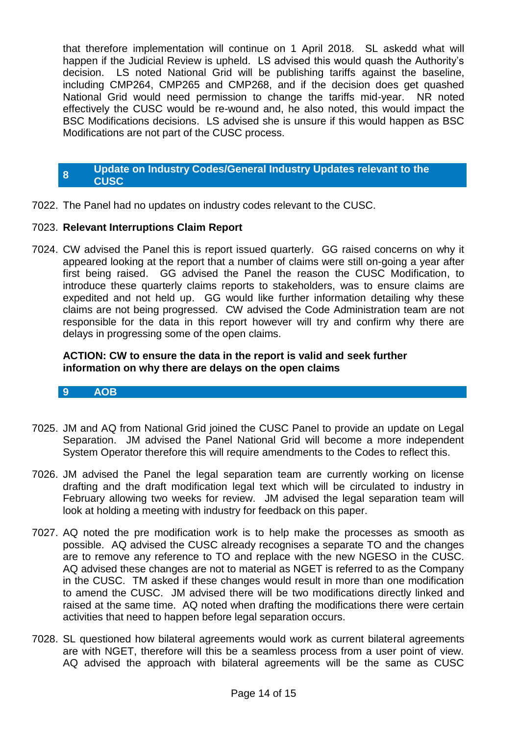that therefore implementation will continue on 1 April 2018. SL askedd what will happen if the Judicial Review is upheld. LS advised this would quash the Authority's decision. LS noted National Grid will be publishing tariffs against the baseline, including CMP264, CMP265 and CMP268, and if the decision does get quashed National Grid would need permission to change the tariffs mid-year. NR noted effectively the CUSC would be re-wound and, he also noted, this would impact the BSC Modifications decisions. LS advised she is unsure if this would happen as BSC Modifications are not part of the CUSC process.

#### **8 Update on Industry Codes/General Industry Updates relevant to the CUSC**

7022. The Panel had no updates on industry codes relevant to the CUSC.

## 7023. **Relevant Interruptions Claim Report**

7024. CW advised the Panel this is report issued quarterly. GG raised concerns on why it appeared looking at the report that a number of claims were still on-going a year after first being raised. GG advised the Panel the reason the CUSC Modification, to introduce these quarterly claims reports to stakeholders, was to ensure claims are expedited and not held up. GG would like further information detailing why these claims are not being progressed. CW advised the Code Administration team are not responsible for the data in this report however will try and confirm why there are delays in progressing some of the open claims.

#### **ACTION: CW to ensure the data in the report is valid and seek further information on why there are delays on the open claims**

#### **9 AOB**

- 7025. JM and AQ from National Grid joined the CUSC Panel to provide an update on Legal Separation. JM advised the Panel National Grid will become a more independent System Operator therefore this will require amendments to the Codes to reflect this.
- 7026. JM advised the Panel the legal separation team are currently working on license drafting and the draft modification legal text which will be circulated to industry in February allowing two weeks for review. JM advised the legal separation team will look at holding a meeting with industry for feedback on this paper.
- 7027. AQ noted the pre modification work is to help make the processes as smooth as possible. AQ advised the CUSC already recognises a separate TO and the changes are to remove any reference to TO and replace with the new NGESO in the CUSC. AQ advised these changes are not to material as NGET is referred to as the Company in the CUSC. TM asked if these changes would result in more than one modification to amend the CUSC. JM advised there will be two modifications directly linked and raised at the same time. AQ noted when drafting the modifications there were certain activities that need to happen before legal separation occurs.
- 7028. SL questioned how bilateral agreements would work as current bilateral agreements are with NGET, therefore will this be a seamless process from a user point of view. AQ advised the approach with bilateral agreements will be the same as CUSC